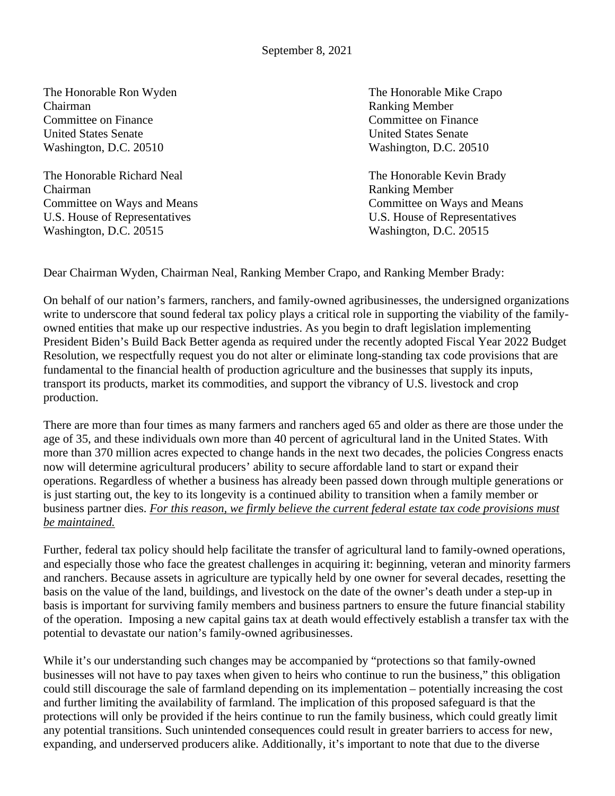The Honorable Ron Wyden The Honorable Mike Crapo Chairman<br>
Committee on Finance<br>
Committee on Finance Committee on Finance United States Senate United States Senate Washington, D.C. 20510 Washington, D.C. 20510

The Honorable Richard Neal The Honorable Kevin Brady Chairman Ranking Member U.S. House of Representatives U.S. House of Representatives Washington, D.C. 20515 Washington, D.C. 20515

Committee on Ways and Means Committee on Ways and Means

Dear Chairman Wyden, Chairman Neal, Ranking Member Crapo, and Ranking Member Brady:

On behalf of our nation's farmers, ranchers, and family-owned agribusinesses, the undersigned organizations write to underscore that sound federal tax policy plays a critical role in supporting the viability of the familyowned entities that make up our respective industries. As you begin to draft legislation implementing President Biden's Build Back Better agenda as required under the recently adopted Fiscal Year 2022 Budget Resolution, we respectfully request you do not alter or eliminate long-standing tax code provisions that are fundamental to the financial health of production agriculture and the businesses that supply its inputs, transport its products, market its commodities, and support the vibrancy of U.S. livestock and crop production.

There are more than four times as many farmers and ranchers aged 65 and older as there are those under the age of 35, and these individuals own more than 40 percent of agricultural land in the United States. With more than 370 million acres expected to change hands in the next two decades, the policies Congress enacts now will determine agricultural producers' ability to secure affordable land to start or expand their operations. Regardless of whether a business has already been passed down through multiple generations or is just starting out, the key to its longevity is a continued ability to transition when a family member or business partner dies. *For this reason, we firmly believe the current federal estate tax code provisions must be maintained.* 

Further, federal tax policy should help facilitate the transfer of agricultural land to family-owned operations, and especially those who face the greatest challenges in acquiring it: beginning, veteran and minority farmers and ranchers. Because assets in agriculture are typically held by one owner for several decades, resetting the basis on the value of the land, buildings, and livestock on the date of the owner's death under a step-up in basis is important for surviving family members and business partners to ensure the future financial stability of the operation. Imposing a new capital gains tax at death would effectively establish a transfer tax with the potential to devastate our nation's family-owned agribusinesses.

While it's our understanding such changes may be accompanied by "protections so that family-owned businesses will not have to pay taxes when given to heirs who continue to run the business," this obligation could still discourage the sale of farmland depending on its implementation – potentially increasing the cost and further limiting the availability of farmland. The implication of this proposed safeguard is that the protections will only be provided if the heirs continue to run the family business, which could greatly limit any potential transitions. Such unintended consequences could result in greater barriers to access for new, expanding, and underserved producers alike. Additionally, it's important to note that due to the diverse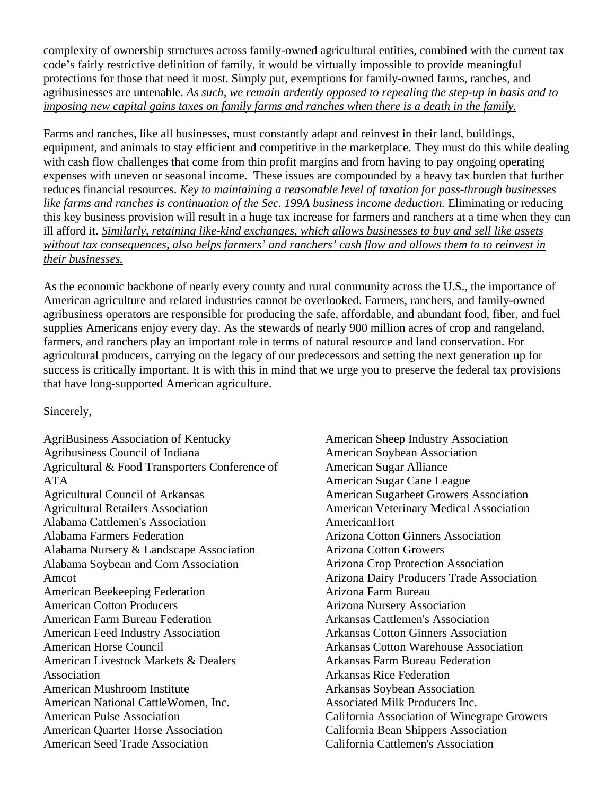complexity of ownership structures across family-owned agricultural entities, combined with the current tax code's fairly restrictive definition of family, it would be virtually impossible to provide meaningful protections for those that need it most. Simply put, exemptions for family-owned farms, ranches, and agribusinesses are untenable. *As such, we remain ardently opposed to repealing the step-up in basis and to imposing new capital gains taxes on family farms and ranches when there is a death in the family.*

Farms and ranches, like all businesses, must constantly adapt and reinvest in their land, buildings, equipment, and animals to stay efficient and competitive in the marketplace. They must do this while dealing with cash flow challenges that come from thin profit margins and from having to pay ongoing operating expenses with uneven or seasonal income. These issues are compounded by a heavy tax burden that further reduces financial resources. *Key to maintaining a reasonable level of taxation for pass-through businesses* like farms and ranches is continuation of the Sec. 199A business income deduction. Eliminating or reducing this key business provision will result in a huge tax increase for farmers and ranchers at a time when they can ill afford it. *Similarly, retaining like-kind exchanges, which allows businesses to buy and sell like assets without tax consequences, also helps farmers' and ranchers' cash flow and allows them to to reinvest in their businesses.*

As the economic backbone of nearly every county and rural community across the U.S., the importance of American agriculture and related industries cannot be overlooked. Farmers, ranchers, and family-owned agribusiness operators are responsible for producing the safe, affordable, and abundant food, fiber, and fuel supplies Americans enjoy every day. As the stewards of nearly 900 million acres of crop and rangeland, farmers, and ranchers play an important role in terms of natural resource and land conservation. For agricultural producers, carrying on the legacy of our predecessors and setting the next generation up for success is critically important. It is with this in mind that we urge you to preserve the federal tax provisions that have long-supported American agriculture.

Sincerely,

AgriBusiness Association of Kentucky Agribusiness Council of Indiana Agricultural & Food Transporters Conference of ATA Agricultural Council of Arkansas Agricultural Retailers Association Alabama Cattlemen's Association Alabama Farmers Federation Alabama Nursery & Landscape Association Alabama Soybean and Corn Association Amcot American Beekeeping Federation American Cotton Producers American Farm Bureau Federation American Feed Industry Association American Horse Council American Livestock Markets & Dealers Association American Mushroom Institute American National CattleWomen, Inc. American Pulse Association American Quarter Horse Association American Seed Trade Association

American Sheep Industry Association American Soybean Association American Sugar Alliance American Sugar Cane League American Sugarbeet Growers Association American Veterinary Medical Association AmericanHort Arizona Cotton Ginners Association Arizona Cotton Growers Arizona Crop Protection Association Arizona Dairy Producers Trade Association Arizona Farm Bureau Arizona Nursery Association Arkansas Cattlemen's Association Arkansas Cotton Ginners Association Arkansas Cotton Warehouse Association Arkansas Farm Bureau Federation Arkansas Rice Federation Arkansas Soybean Association Associated Milk Producers Inc. California Association of Winegrape Growers California Bean Shippers Association California Cattlemen's Association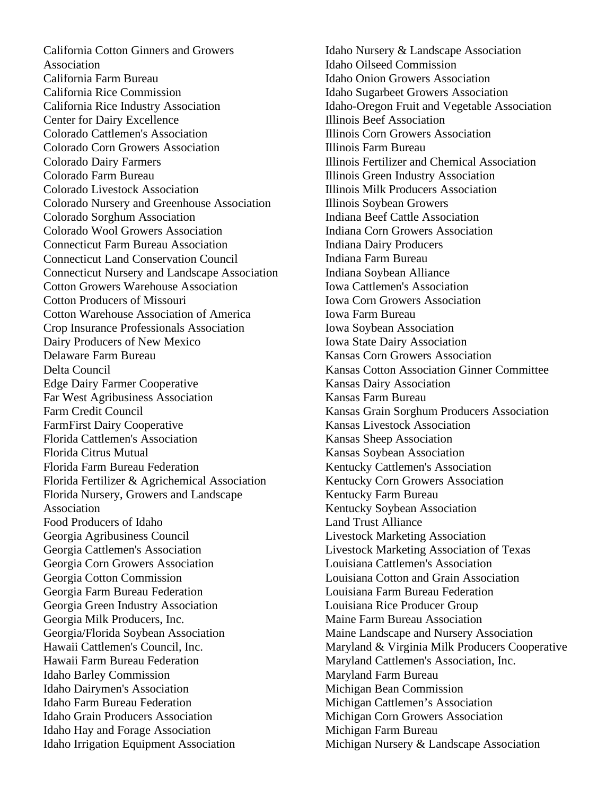California Cotton Ginners and Growers Association California Farm Bureau California Rice Commission California Rice Industry Association Center for Dairy Excellence Colorado Cattlemen's Association Colorado Corn Growers Association Colorado Dairy Farmers Colorado Farm Bureau Colorado Livestock Association Colorado Nursery and Greenhouse Association Colorado Sorghum Association Colorado Wool Growers Association Connecticut Farm Bureau Association Connecticut Land Conservation Council Connecticut Nursery and Landscape Association Cotton Growers Warehouse Association Cotton Producers of Missouri Cotton Warehouse Association of America Crop Insurance Professionals Association Dairy Producers of New Mexico Delaware Farm Bureau Delta Council Edge Dairy Farmer Cooperative Far West Agribusiness Association Farm Credit Council FarmFirst Dairy Cooperative Florida Cattlemen's Association Florida Citrus Mutual Florida Farm Bureau Federation Florida Fertilizer & Agrichemical Association Florida Nursery, Growers and Landscape Association Food Producers of Idaho Georgia Agribusiness Council Georgia Cattlemen's Association Georgia Corn Growers Association Georgia Cotton Commission Georgia Farm Bureau Federation Georgia Green Industry Association Georgia Milk Producers, Inc. Georgia/Florida Soybean Association Hawaii Cattlemen's Council, Inc. Hawaii Farm Bureau Federation Idaho Barley Commission Idaho Dairymen's Association Idaho Farm Bureau Federation Idaho Grain Producers Association Idaho Hay and Forage Association Idaho Irrigation Equipment Association

Idaho Nursery & Landscape Association Idaho Oilseed Commission Idaho Onion Growers Association Idaho Sugarbeet Growers Association Idaho-Oregon Fruit and Vegetable Association Illinois Beef Association Illinois Corn Growers Association Illinois Farm Bureau Illinois Fertilizer and Chemical Association Illinois Green Industry Association Illinois Milk Producers Association Illinois Soybean Growers Indiana Beef Cattle Association Indiana Corn Growers Association Indiana Dairy Producers Indiana Farm Bureau Indiana Soybean Alliance Iowa Cattlemen's Association Iowa Corn Growers Association Iowa Farm Bureau Iowa Soybean Association Iowa State Dairy Association Kansas Corn Growers Association Kansas Cotton Association Ginner Committee Kansas Dairy Association Kansas Farm Bureau Kansas Grain Sorghum Producers Association Kansas Livestock Association Kansas Sheep Association Kansas Soybean Association Kentucky Cattlemen's Association Kentucky Corn Growers Association Kentucky Farm Bureau Kentucky Soybean Association Land Trust Alliance Livestock Marketing Association Livestock Marketing Association of Texas Louisiana Cattlemen's Association Louisiana Cotton and Grain Association Louisiana Farm Bureau Federation Louisiana Rice Producer Group Maine Farm Bureau Association Maine Landscape and Nursery Association Maryland & Virginia Milk Producers Cooperative Maryland Cattlemen's Association, Inc. Maryland Farm Bureau Michigan Bean Commission Michigan Cattlemen's Association Michigan Corn Growers Association Michigan Farm Bureau Michigan Nursery & Landscape Association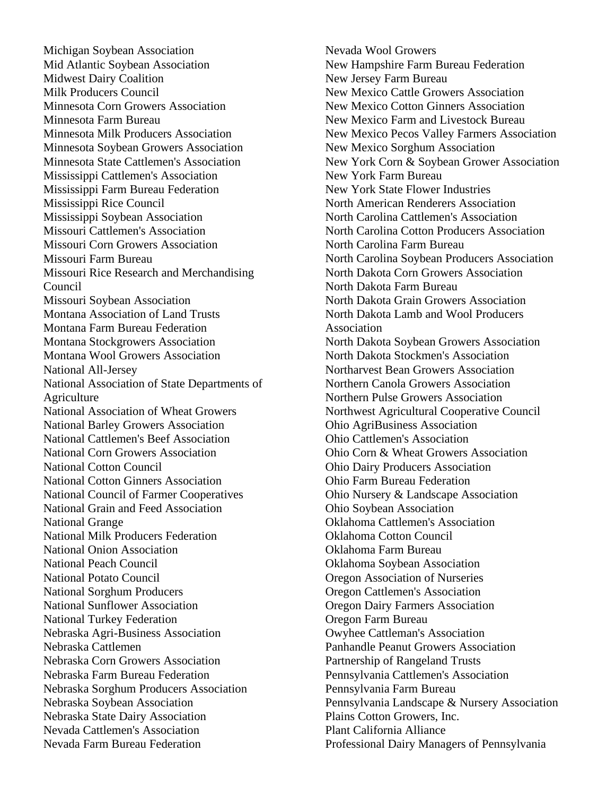Michigan Soybean Association Mid Atlantic Soybean Association Midwest Dairy Coalition Milk Producers Council Minnesota Corn Growers Association Minnesota Farm Bureau Minnesota Milk Producers Association Minnesota Soybean Growers Association Minnesota State Cattlemen's Association Mississippi Cattlemen's Association Mississippi Farm Bureau Federation Mississippi Rice Council Mississippi Soybean Association Missouri Cattlemen's Association Missouri Corn Growers Association Missouri Farm Bureau Missouri Rice Research and Merchandising Council Missouri Soybean Association Montana Association of Land Trusts Montana Farm Bureau Federation Montana Stockgrowers Association Montana Wool Growers Association National All-Jersey National Association of State Departments of Agriculture National Association of Wheat Growers National Barley Growers Association National Cattlemen's Beef Association National Corn Growers Association National Cotton Council National Cotton Ginners Association National Council of Farmer Cooperatives National Grain and Feed Association National Grange National Milk Producers Federation National Onion Association National Peach Council National Potato Council National Sorghum Producers National Sunflower Association National Turkey Federation Nebraska Agri-Business Association Nebraska Cattlemen Nebraska Corn Growers Association Nebraska Farm Bureau Federation Nebraska Sorghum Producers Association Nebraska Soybean Association Nebraska State Dairy Association Nevada Cattlemen's Association Nevada Farm Bureau Federation

Nevada Wool Growers New Hampshire Farm Bureau Federation New Jersey Farm Bureau New Mexico Cattle Growers Association New Mexico Cotton Ginners Association New Mexico Farm and Livestock Bureau New Mexico Pecos Valley Farmers Association New Mexico Sorghum Association New York Corn & Soybean Grower Association New York Farm Bureau New York State Flower Industries North American Renderers Association North Carolina Cattlemen's Association North Carolina Cotton Producers Association North Carolina Farm Bureau North Carolina Soybean Producers Association North Dakota Corn Growers Association North Dakota Farm Bureau North Dakota Grain Growers Association North Dakota Lamb and Wool Producers Association North Dakota Soybean Growers Association North Dakota Stockmen's Association Northarvest Bean Growers Association Northern Canola Growers Association Northern Pulse Growers Association Northwest Agricultural Cooperative Council Ohio AgriBusiness Association Ohio Cattlemen's Association Ohio Corn & Wheat Growers Association Ohio Dairy Producers Association Ohio Farm Bureau Federation Ohio Nursery & Landscape Association Ohio Soybean Association Oklahoma Cattlemen's Association Oklahoma Cotton Council Oklahoma Farm Bureau Oklahoma Soybean Association Oregon Association of Nurseries Oregon Cattlemen's Association Oregon Dairy Farmers Association Oregon Farm Bureau Owyhee Cattleman's Association Panhandle Peanut Growers Association Partnership of Rangeland Trusts Pennsylvania Cattlemen's Association Pennsylvania Farm Bureau Pennsylvania Landscape & Nursery Association Plains Cotton Growers, Inc. Plant California Alliance Professional Dairy Managers of Pennsylvania